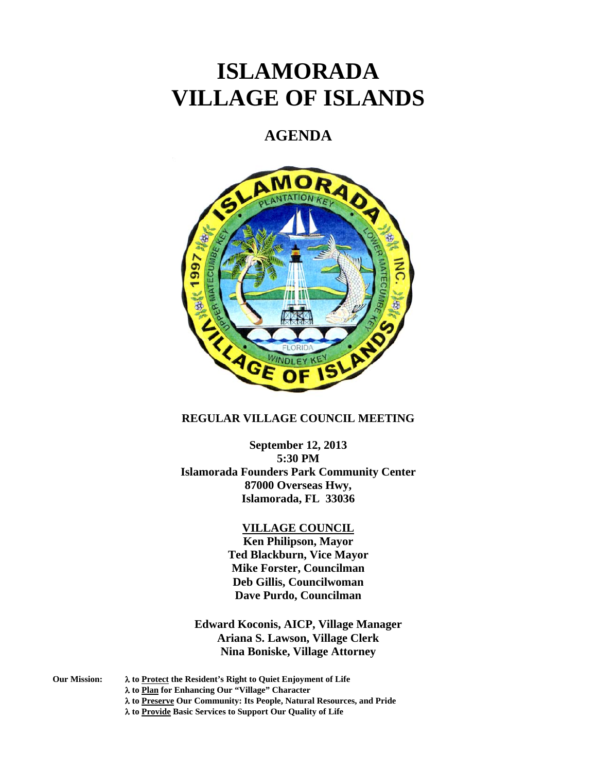# **ISLAMORADA VILLAGE OF ISLANDS**

## **AGENDA**



### **REGULAR VILLAGE COUNCIL MEETING**

**September 12, 2013 5:30 PM Islamorada Founders Park Community Center 87000 Overseas Hwy, Islamorada, FL 33036** 

#### **VILLAGE COUNCIL**

**Ken Philipson, Mayor Ted Blackburn, Vice Mayor Mike Forster, Councilman Deb Gillis, Councilwoman Dave Purdo, Councilman** 

**Edward Koconis, AICP, Village Manager Ariana S. Lawson, Village Clerk Nina Boniske, Village Attorney** 

**Our Mission: to Protect the Resident's Right to Quiet Enjoyment of Life** 

 **to Plan for Enhancing Our "Village" Character** 

- **to Preserve Our Community: Its People, Natural Resources, and Pride**
- **to Provide Basic Services to Support Our Quality of Life**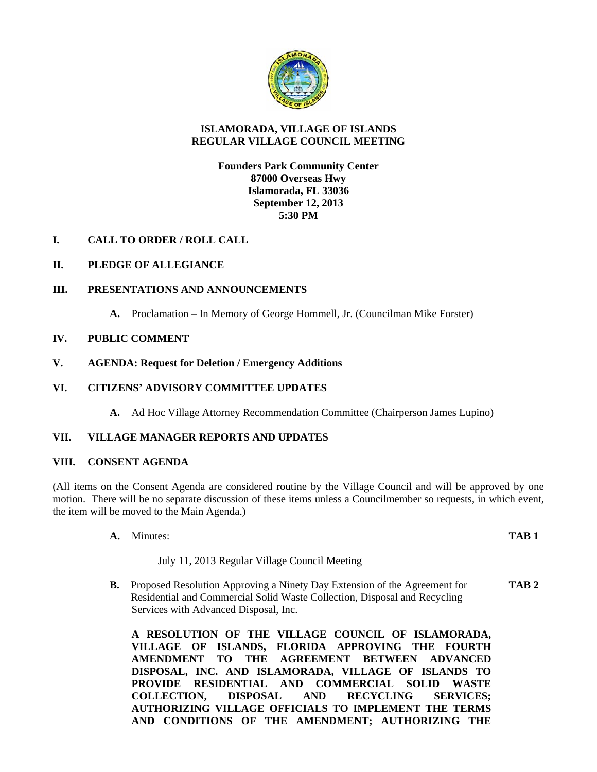

#### **ISLAMORADA, VILLAGE OF ISLANDS REGULAR VILLAGE COUNCIL MEETING**

#### **Founders Park Community Center 87000 Overseas Hwy Islamorada, FL 33036 September 12, 2013 5:30 PM**

**I. CALL TO ORDER / ROLL CALL**

#### **II. PLEDGE OF ALLEGIANCE**

#### **III. PRESENTATIONS AND ANNOUNCEMENTS**

**A.** Proclamation – In Memory of George Hommell, Jr. (Councilman Mike Forster)

#### **IV. PUBLIC COMMENT**

**V. AGENDA: Request for Deletion / Emergency Additions** 

#### **VI. CITIZENS' ADVISORY COMMITTEE UPDATES**

**A.** Ad Hoc Village Attorney Recommendation Committee (Chairperson James Lupino)

#### **VII. VILLAGE MANAGER REPORTS AND UPDATES**

#### **VIII. CONSENT AGENDA**

(All items on the Consent Agenda are considered routine by the Village Council and will be approved by one motion. There will be no separate discussion of these items unless a Councilmember so requests, in which event, the item will be moved to the Main Agenda.)

**A.** Minutes: **TAB 1**

#### July 11, 2013 Regular Village Council Meeting

**B.** Proposed Resolution Approving a Ninety Day Extension of the Agreement for **TAB 2** Residential and Commercial Solid Waste Collection, Disposal and Recycling Services with Advanced Disposal, Inc.

**A RESOLUTION OF THE VILLAGE COUNCIL OF ISLAMORADA, VILLAGE OF ISLANDS, FLORIDA APPROVING THE FOURTH AMENDMENT TO THE AGREEMENT BETWEEN ADVANCED DISPOSAL, INC. AND ISLAMORADA, VILLAGE OF ISLANDS TO PROVIDE RESIDENTIAL AND COMMERCIAL SOLID WASTE COLLECTION, DISPOSAL AND RECYCLING SERVICES; AUTHORIZING VILLAGE OFFICIALS TO IMPLEMENT THE TERMS AND CONDITIONS OF THE AMENDMENT; AUTHORIZING THE**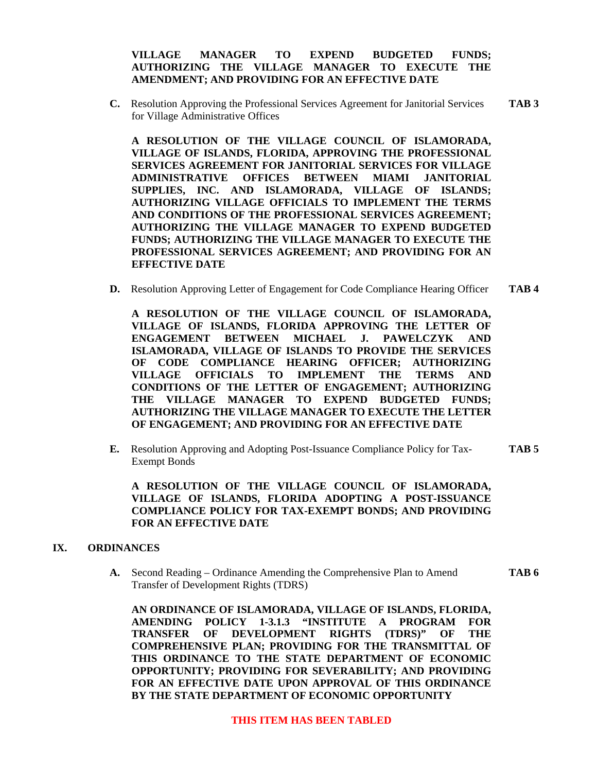#### **VILLAGE MANAGER TO EXPEND BUDGETED FUNDS; AUTHORIZING THE VILLAGE MANAGER TO EXECUTE THE AMENDMENT; AND PROVIDING FOR AN EFFECTIVE DATE**

**C.** Resolution Approving the Professional Services Agreement for Janitorial Services **TAB 3**  for Village Administrative Offices

**A RESOLUTION OF THE VILLAGE COUNCIL OF ISLAMORADA, VILLAGE OF ISLANDS, FLORIDA, APPROVING THE PROFESSIONAL SERVICES AGREEMENT FOR JANITORIAL SERVICES FOR VILLAGE ADMINISTRATIVE OFFICES BETWEEN MIAMI JANITORIAL SUPPLIES, INC. AND ISLAMORADA, VILLAGE OF ISLANDS; AUTHORIZING VILLAGE OFFICIALS TO IMPLEMENT THE TERMS AND CONDITIONS OF THE PROFESSIONAL SERVICES AGREEMENT; AUTHORIZING THE VILLAGE MANAGER TO EXPEND BUDGETED FUNDS; AUTHORIZING THE VILLAGE MANAGER TO EXECUTE THE PROFESSIONAL SERVICES AGREEMENT; AND PROVIDING FOR AN EFFECTIVE DATE** 

**D.** Resolution Approving Letter of Engagement for Code Compliance Hearing Officer **TAB 4** 

**A RESOLUTION OF THE VILLAGE COUNCIL OF ISLAMORADA, VILLAGE OF ISLANDS, FLORIDA APPROVING THE LETTER OF ENGAGEMENT BETWEEN MICHAEL J. PAWELCZYK AND ISLAMORADA, VILLAGE OF ISLANDS TO PROVIDE THE SERVICES OF CODE COMPLIANCE HEARING OFFICER; AUTHORIZING VILLAGE OFFICIALS TO IMPLEMENT THE TERMS AND CONDITIONS OF THE LETTER OF ENGAGEMENT; AUTHORIZING THE VILLAGE MANAGER TO EXPEND BUDGETED FUNDS; AUTHORIZING THE VILLAGE MANAGER TO EXECUTE THE LETTER OF ENGAGEMENT; AND PROVIDING FOR AN EFFECTIVE DATE** 

**E.** Resolution Approving and Adopting Post-Issuance Compliance Policy for Tax- **TAB 5**  Exempt Bonds

**A RESOLUTION OF THE VILLAGE COUNCIL OF ISLAMORADA, VILLAGE OF ISLANDS, FLORIDA ADOPTING A POST-ISSUANCE COMPLIANCE POLICY FOR TAX-EXEMPT BONDS; AND PROVIDING FOR AN EFFECTIVE DATE** 

#### **IX. ORDINANCES**

**A.** Second Reading – Ordinance Amending the Comprehensive Plan to Amend **TAB 6** Transfer of Development Rights (TDRS)

**AN ORDINANCE OF ISLAMORADA, VILLAGE OF ISLANDS, FLORIDA, AMENDING POLICY 1-3.1.3 "INSTITUTE A PROGRAM FOR TRANSFER OF DEVELOPMENT RIGHTS (TDRS)" OF THE COMPREHENSIVE PLAN; PROVIDING FOR THE TRANSMITTAL OF THIS ORDINANCE TO THE STATE DEPARTMENT OF ECONOMIC OPPORTUNITY; PROVIDING FOR SEVERABILITY; AND PROVIDING FOR AN EFFECTIVE DATE UPON APPROVAL OF THIS ORDINANCE BY THE STATE DEPARTMENT OF ECONOMIC OPPORTUNITY**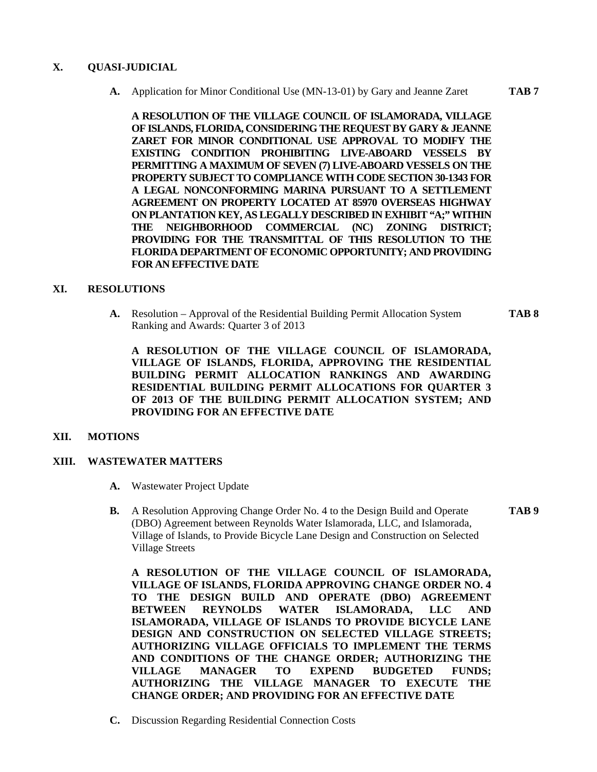#### **X. QUASI-JUDICIAL**

**A.** Application for Minor Conditional Use (MN-13-01) by Gary and Jeanne Zaret **TAB 7** 

**A RESOLUTION OF THE VILLAGE COUNCIL OF ISLAMORADA, VILLAGE OF ISLANDS, FLORIDA, CONSIDERING THE REQUEST BY GARY & JEANNE ZARET FOR MINOR CONDITIONAL USE APPROVAL TO MODIFY THE EXISTING CONDITION PROHIBITING LIVE-ABOARD VESSELS BY PERMITTING A MAXIMUM OF SEVEN (7) LIVE-ABOARD VESSELS ON THE PROPERTY SUBJECT TO COMPLIANCE WITH CODE SECTION 30-1343 FOR A LEGAL NONCONFORMING MARINA PURSUANT TO A SETTLEMENT AGREEMENT ON PROPERTY LOCATED AT 85970 OVERSEAS HIGHWAY ON PLANTATION KEY, AS LEGALLY DESCRIBED IN EXHIBIT "A;" WITHIN THE NEIGHBORHOOD COMMERCIAL (NC) ZONING DISTRICT; PROVIDING FOR THE TRANSMITTAL OF THIS RESOLUTION TO THE FLORIDA DEPARTMENT OF ECONOMIC OPPORTUNITY; AND PROVIDING FOR AN EFFECTIVE DATE** 

#### **XI. RESOLUTIONS**

**A.** Resolution – Approval of the Residential Building Permit Allocation System **TAB 8**  Ranking and Awards: Quarter 3 of 2013

**A RESOLUTION OF THE VILLAGE COUNCIL OF ISLAMORADA, VILLAGE OF ISLANDS, FLORIDA, APPROVING THE RESIDENTIAL BUILDING PERMIT ALLOCATION RANKINGS AND AWARDING RESIDENTIAL BUILDING PERMIT ALLOCATIONS FOR QUARTER 3 OF 2013 OF THE BUILDING PERMIT ALLOCATION SYSTEM; AND PROVIDING FOR AN EFFECTIVE DATE** 

#### **XII. MOTIONS**

#### **XIII. WASTEWATER MATTERS**

- **A.** Wastewater Project Update
- **B.** A Resolution Approving Change Order No. 4 to the Design Build and Operate **TAB 9**  (DBO) Agreement between Reynolds Water Islamorada, LLC, and Islamorada, Village of Islands, to Provide Bicycle Lane Design and Construction on Selected Village Streets

**A RESOLUTION OF THE VILLAGE COUNCIL OF ISLAMORADA, VILLAGE OF ISLANDS, FLORIDA APPROVING CHANGE ORDER NO. 4 TO THE DESIGN BUILD AND OPERATE (DBO) AGREEMENT BETWEEN REYNOLDS WATER ISLAMORADA, LLC AND ISLAMORADA, VILLAGE OF ISLANDS TO PROVIDE BICYCLE LANE DESIGN AND CONSTRUCTION ON SELECTED VILLAGE STREETS; AUTHORIZING VILLAGE OFFICIALS TO IMPLEMENT THE TERMS AND CONDITIONS OF THE CHANGE ORDER; AUTHORIZING THE VILLAGE MANAGER TO EXPEND BUDGETED FUNDS; AUTHORIZING THE VILLAGE MANAGER TO EXECUTE THE CHANGE ORDER; AND PROVIDING FOR AN EFFECTIVE DATE** 

**C.** Discussion Regarding Residential Connection Costs